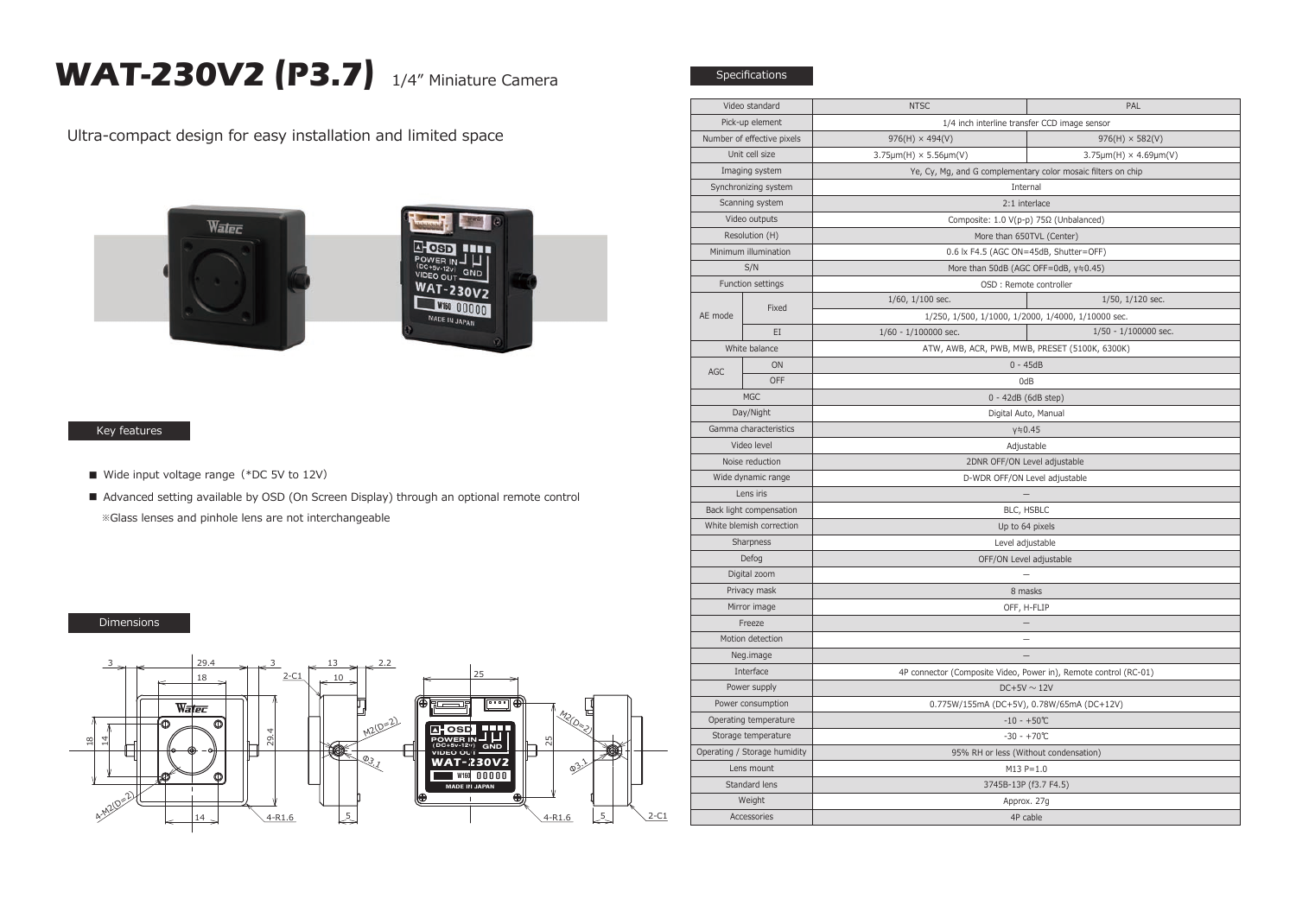## **WAT-230V2 (P3.7)** 1/4" Miniature Camera

Specifications

Ultra-compact design for easy installation and limited space





## Key features

- Wide input voltage range (\*DC 5V to 12V)
- Advanced setting available by OSD (On Screen Display) through an optional remote control ※Glass lenses and pinhole lens are not interchangeable

## Dimensions



| Video standard               |       | <b>NTSC</b>                                                      | PAL                                  |
|------------------------------|-------|------------------------------------------------------------------|--------------------------------------|
| Pick-up element              |       | 1/4 inch interline transfer CCD image sensor                     |                                      |
| Number of effective pixels   |       | $976(H) \times 494(V)$                                           | $976(H) \times 582(V)$               |
| Unit cell size               |       | $3.75 \mu m(H) \times 5.56 \mu m(V)$                             | $3.75 \mu m(H) \times 4.69 \mu m(V)$ |
| Imaging system               |       | Ye, Cy, Mg, and G complementary color mosaic filters on chip     |                                      |
| Synchronizing system         |       | Internal                                                         |                                      |
| Scanning system              |       | 2:1 interlace                                                    |                                      |
| Video outputs                |       | Composite: 1.0 V(p-p) 75Ω (Unbalanced)                           |                                      |
| Resolution (H)               |       | More than 650TVL (Center)                                        |                                      |
| Minimum illumination         |       | 0.6 lx F4.5 (AGC ON=45dB, Shutter=OFF)                           |                                      |
| S/N                          |       | More than 50dB (AGC OFF=0dB, y≒0.45)                             |                                      |
| Function settings            |       | OSD : Remote controller                                          |                                      |
| AE mode                      | Fixed | $1/60$ , $1/100$ sec.                                            | 1/50, 1/120 sec.                     |
|                              |       | 1/250, 1/500, 1/1000, 1/2000, 1/4000, 1/10000 sec.               |                                      |
|                              | EI    | 1/60 - 1/100000 sec.                                             | 1/50 - 1/100000 sec.                 |
| White balance                |       | ATW, AWB, ACR, PWB, MWB, PRESET (5100K, 6300K)                   |                                      |
| AGC                          | ON    | $0 - 45dB$                                                       |                                      |
|                              | OFF   | 0dB                                                              |                                      |
| <b>MGC</b>                   |       | 0 - 42dB (6dB step)                                              |                                      |
| Day/Night                    |       | Digital Auto, Manual                                             |                                      |
| Gamma characteristics        |       | $y = 0.45$                                                       |                                      |
| Video level                  |       | Adjustable                                                       |                                      |
| Noise reduction              |       | 2DNR OFF/ON Level adjustable                                     |                                      |
| Wide dynamic range           |       | D-WDR OFF/ON Level adjustable                                    |                                      |
| Lens iris                    |       |                                                                  |                                      |
| Back light compensation      |       | BLC, HSBLC                                                       |                                      |
| White blemish correction     |       | Up to 64 pixels                                                  |                                      |
| Sharpness                    |       | Level adjustable                                                 |                                      |
| Defog                        |       | OFF/ON Level adjustable                                          |                                      |
| Digital zoom                 |       |                                                                  |                                      |
| Privacy mask                 |       | 8 masks                                                          |                                      |
| Mirror image                 |       | OFF, H-FLIP                                                      |                                      |
| Freeze                       |       |                                                                  |                                      |
| Motion detection             |       |                                                                  |                                      |
| Neg.image                    |       |                                                                  |                                      |
| Interface                    |       | 4P connector (Composite Video, Power in), Remote control (RC-01) |                                      |
| Power supply                 |       | $DC+5V \sim 12V$                                                 |                                      |
| Power consumption            |       | 0.775W/155mA (DC+5V), 0.78W/65mA (DC+12V)                        |                                      |
| Operating temperature        |       | $-10 - +50$ °C                                                   |                                      |
| Storage temperature          |       | $-30 - +70$ °C                                                   |                                      |
| Operating / Storage humidity |       | 95% RH or less (Without condensation)                            |                                      |
| Lens mount                   |       | $M13 P=1.0$                                                      |                                      |
| Standard lens                |       | 3745B-13P (f3.7 F4.5)                                            |                                      |
| Weight                       |       | Approx. 27g                                                      |                                      |
| Accessories                  |       | 4P cable                                                         |                                      |
|                              |       |                                                                  |                                      |